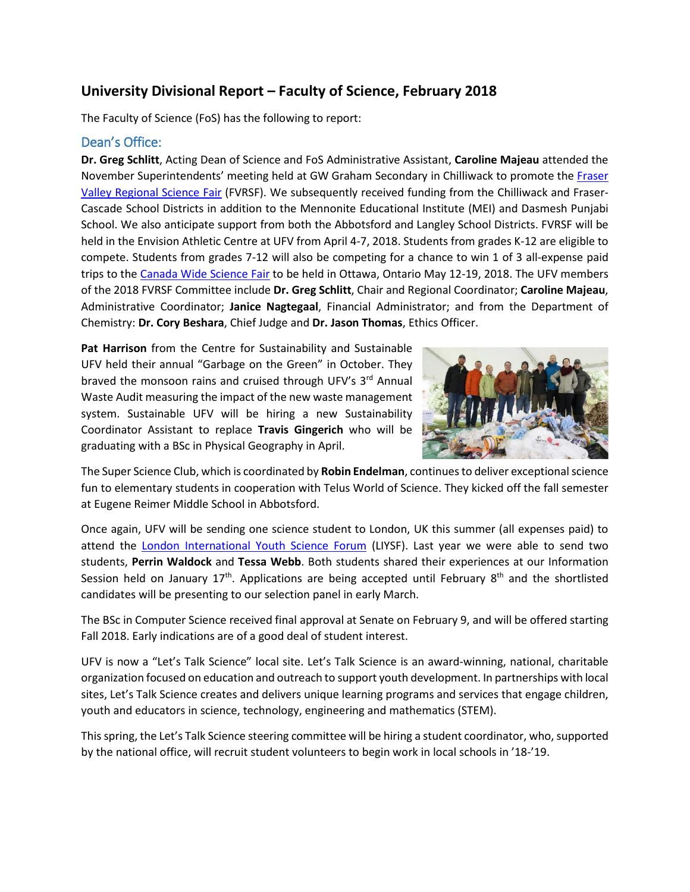# **University Divisional Report – Faculty of Science, February 2018**

The Faculty of Science (FoS) has the following to report:

## Dean's Office:

**Dr. Greg Schlitt**, Acting Dean of Science and FoS Administrative Assistant, **Caroline Majeau** attended the November Superintendents' meeting held at GW Graham Secondary in Chilliwack to promote the Fraser [Valley Regional Science Fair](https://www.ufv.ca/science-fair/) (FVRSF). We subsequently received funding from the Chilliwack and Fraser-Cascade School Districts in addition to the Mennonite Educational Institute (MEI) and Dasmesh Punjabi School. We also anticipate support from both the Abbotsford and Langley School Districts. FVRSF will be held in the Envision Athletic Centre at UFV from April 4-7, 2018. Students from grades K-12 are eligible to compete. Students from grades 7-12 will also be competing for a chance to win 1 of 3 all-expense paid trips to the [Canada Wide Science Fair](http://cwsf.youthscience.ca/welcome-cwsf) to be held in Ottawa, Ontario May 12-19, 2018. The UFV members of the 2018 FVRSF Committee include **Dr. Greg Schlitt**, Chair and Regional Coordinator; **Caroline Majeau**, Administrative Coordinator; **Janice Nagtegaal**, Financial Administrator; and from the Department of Chemistry: **Dr. Cory Beshara**, Chief Judge and **Dr. Jason Thomas**, Ethics Officer.

**Pat Harrison** from the Centre for Sustainability and Sustainable UFV held their annual "Garbage on the Green" in October. They braved the monsoon rains and cruised through UFV's 3<sup>rd</sup> Annual Waste Audit measuring the impact of the new waste management system. Sustainable UFV will be hiring a new Sustainability Coordinator Assistant to replace **Travis Gingerich** who will be graduating with a BSc in Physical Geography in April.



The Super Science Club, which is coordinated by **Robin Endelman**, continues to deliver exceptional science fun to elementary students in cooperation with Telus World of Science. They kicked off the fall semester at Eugene Reimer Middle School in Abbotsford.

Once again, UFV will be sending one science student to London, UK this summer (all expenses paid) to attend the [London International Youth Science Forum](http://www.liysf.org.uk/) (LIYSF). Last year we were able to send two students, **Perrin Waldock** and **Tessa Webb**. Both students shared their experiences at our Information Session held on January  $17<sup>th</sup>$ . Applications are being accepted until February 8<sup>th</sup> and the shortlisted candidates will be presenting to our selection panel in early March.

The BSc in Computer Science received final approval at Senate on February 9, and will be offered starting Fall 2018. Early indications are of a good deal of student interest.

UFV is now a "Let's Talk Science" local site. Let's Talk Science is an award-winning, national, charitable organization focused on education and outreach to support youth development. In partnerships with local sites, Let's Talk Science creates and delivers unique learning programs and services that engage children, youth and educators in science, technology, engineering and mathematics (STEM).

This spring, the Let's Talk Science steering committee will be hiring a student coordinator, who, supported by the national office, will recruit student volunteers to begin work in local schools in '18-'19.